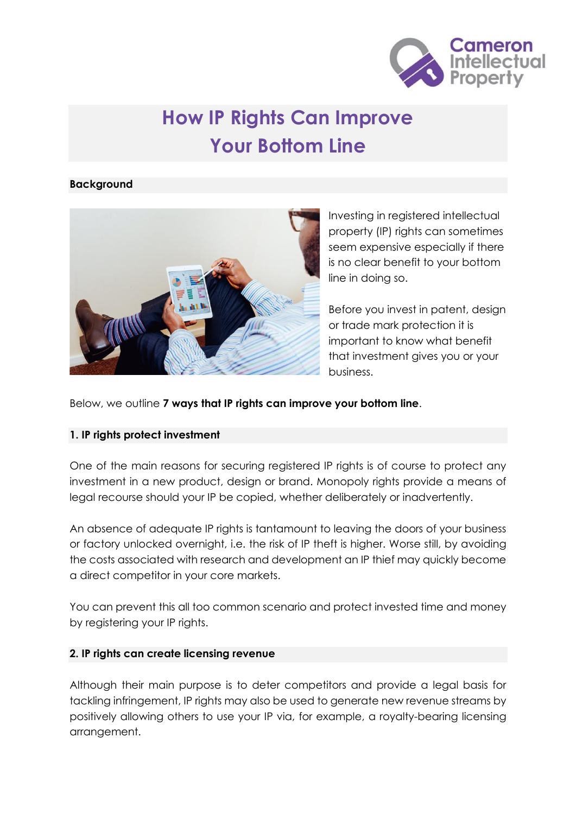

# **How IP Rights Can Improve Your Bottom Line**

#### **Background**



Investing in registered intellectual property (IP) rights can sometimes seem expensive especially if there is no clear benefit to your bottom line in doing so.

Before you invest in patent, design or trade mark protection it is important to know what benefit that investment gives you or your business.

Below, we outline **7 ways that IP rights can improve your bottom line**.

## **1. IP rights protect investment**

One of the main reasons for securing registered IP rights is of course to protect any investment in a new product, design or brand. Monopoly rights provide a means of legal recourse should your IP be copied, whether deliberately or inadvertently.

An absence of adequate IP rights is tantamount to leaving the doors of your business or factory unlocked overnight, i.e. the risk of IP theft is higher. Worse still, by avoiding the costs associated with research and development an IP thief may quickly become a direct competitor in your core markets.

You can prevent this all too common scenario and protect invested time and money by registering your IP rights.

## **2. IP rights can create licensing revenue**

Although their main purpose is to deter competitors and provide a legal basis for tackling infringement, IP rights may also be used to generate new revenue streams by positively allowing others to use your IP via, for example, a royalty-bearing licensing arrangement.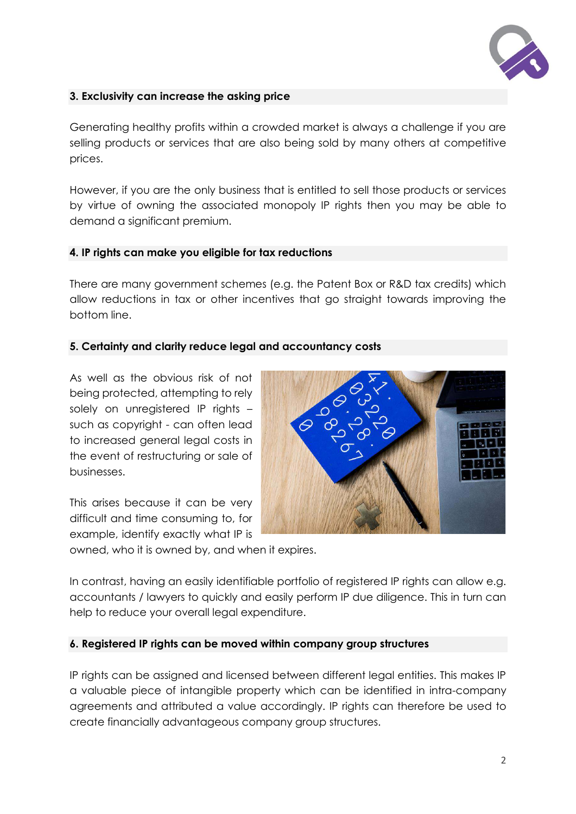

# **3. Exclusivity can increase the asking price**

Generating healthy profits within a crowded market is always a challenge if you are selling products or services that are also being sold by many others at competitive prices.

However, if you are the only business that is entitled to sell those products or services by virtue of owning the associated monopoly IP rights then you may be able to demand a significant premium.

## **4. IP rights can make you eligible for tax reductions**

There are many government schemes (e.g. the Patent Box or R&D tax credits) which allow reductions in tax or other incentives that go straight towards improving the bottom line.

## **5. Certainty and clarity reduce legal and accountancy costs**

As well as the obvious risk of not being protected, attempting to rely solely on unregistered IP rights – such as copyright - can often lead to increased general legal costs in the event of restructuring or sale of businesses.

This arises because it can be very difficult and time consuming to, for example, identify exactly what IP is



owned, who it is owned by, and when it expires.

In contrast, having an easily identifiable portfolio of registered IP rights can allow e.g. accountants / lawyers to quickly and easily perform IP due diligence. This in turn can help to reduce your overall legal expenditure.

## **6. Registered IP rights can be moved within company group structures**

IP rights can be assigned and licensed between different legal entities. This makes IP a valuable piece of intangible property which can be identified in intra-company agreements and attributed a value accordingly. IP rights can therefore be used to create financially advantageous company group structures.